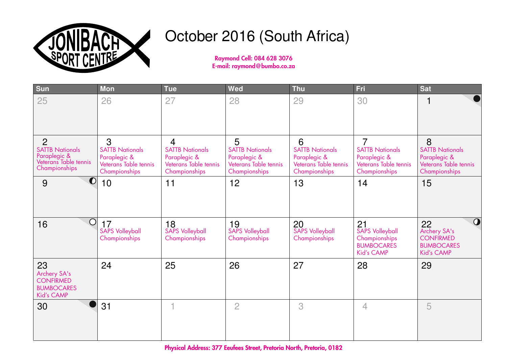

## October 2016 (South Africa)

Raymond Cell: 084 628 3076 E-mail: raymond@bumbo.co.za

| <b>Sun</b>                                                                                         | <b>Mon</b>                                                                            | <b>Tue</b>                                                                                         | Wed                                                                                   | <b>Thu</b>                                                                            | Fri                                                                                                | <b>Sat</b>                                                                                         |
|----------------------------------------------------------------------------------------------------|---------------------------------------------------------------------------------------|----------------------------------------------------------------------------------------------------|---------------------------------------------------------------------------------------|---------------------------------------------------------------------------------------|----------------------------------------------------------------------------------------------------|----------------------------------------------------------------------------------------------------|
| 25                                                                                                 | 26                                                                                    | 27                                                                                                 | 28                                                                                    | 29                                                                                    | 30                                                                                                 |                                                                                                    |
| $\overline{2}$<br><b>SATTB Nationals</b><br>Paraplegic &<br>Veterans Table tennis<br>Championships | 3<br><b>SATTB Nationals</b><br>Paraplegic &<br>Veterans Table tennis<br>Championships | $\overline{4}$<br><b>SATTB Nationals</b><br>Paraplegic &<br>Veterans Table tennis<br>Championships | 5<br><b>SATTB Nationals</b><br>Paraplegic &<br>Veterans Table tennis<br>Championships | 6<br><b>SATTB Nationals</b><br>Paraplegic &<br>Veterans Table tennis<br>Championships | $\overline{7}$<br><b>SATTB Nationals</b><br>Paraplegic &<br>Veterans Table tennis<br>Championships | 8<br><b>SATTB Nationals</b><br>Paraplegic &<br>Veterans Table tennis<br>Championships              |
| $\bullet$<br>9                                                                                     | 10                                                                                    | 11                                                                                                 | 12                                                                                    | 13                                                                                    | 14                                                                                                 | 15                                                                                                 |
| $\bigcirc$<br>16                                                                                   | 17<br><b>SAPS Volleyball</b><br>Championships                                         | 18<br><b>SAPS Volleyball</b><br>Championships                                                      | 19<br><b>SAPS Volleyball</b><br>Championships                                         | 20<br><b>SAPS Volleyball</b><br>Championships                                         | 21<br>SAPS Volleyball<br>Championships<br><b>BUMBOCARES</b><br>Kid's CAMP                          | $\overline{O}$<br>22<br>Archery SA's<br><b>CONFIRMED</b><br><b>BUMBOCARES</b><br><b>Kid's CAMP</b> |
| 23<br>Archery SA's<br><b>CONFIRMED</b><br><b>BUMBOCARES</b><br>Kid's CAMP                          | 24                                                                                    | 25                                                                                                 | 26                                                                                    | 27                                                                                    | 28                                                                                                 | 29                                                                                                 |
| 30                                                                                                 | 31                                                                                    |                                                                                                    | $\overline{2}$                                                                        | 3                                                                                     | $\overline{4}$                                                                                     | 5                                                                                                  |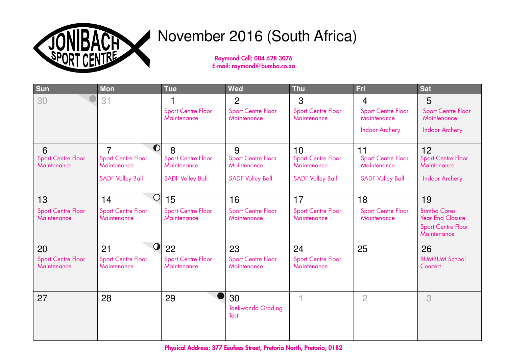

# November 2016 (South Africa)

Raymond Cell: 084 628 3076 E-mail: raymond@bumbo.co.za

| Sun                                            | <b>Mon</b>                                                                            | <b>Tue</b>                                                                      | Wed                                                                      | <b>Thu</b>                                                                | <b>Fri</b>                                                                          | <b>Sat</b>                                                                                      |
|------------------------------------------------|---------------------------------------------------------------------------------------|---------------------------------------------------------------------------------|--------------------------------------------------------------------------|---------------------------------------------------------------------------|-------------------------------------------------------------------------------------|-------------------------------------------------------------------------------------------------|
| 30                                             | 31                                                                                    | <b>Sport Centre Floor</b><br>Maintenance                                        | $\overline{2}$<br><b>Sport Centre Floor</b><br>Maintenance               | 3<br>Sport Centre Floor<br>Maintenance                                    | $\overline{4}$<br><b>Sport Centre Floor</b><br>Maintenance<br><b>Indoor Archery</b> | 5<br><b>Sport Centre Floor</b><br>Maintenance<br>Indoor Archery                                 |
| 6<br><b>Sport Centre Floor</b><br>Maintenance  | $\bullet$<br>7<br><b>Sport Centre Floor</b><br>Maintenance<br><b>SADF Volley Ball</b> | $\delta$<br><b>Sport Centre Floor</b><br>Maintenance<br><b>SADF Volley Ball</b> | 9<br><b>Sport Centre Floor</b><br>Maintenance<br><b>SADF Volley Ball</b> | 10<br><b>Sport Centre Floor</b><br>Maintenance<br><b>SADF Volley Ball</b> | 11<br><b>Sport Centre Floor</b><br>Maintenance<br><b>SADF Volley Ball</b>           | 12<br><b>Sport Centre Floor</b><br>Maintenance<br>Indoor Archery                                |
| 13<br><b>Sport Centre Floor</b><br>Maintenance | O<br>14<br><b>Sport Centre Floor</b><br>Maintenance                                   | 15<br><b>Sport Centre Floor</b><br>Maintenance                                  | 16<br><b>Sport Centre Floor</b><br>Maintenance                           | 17<br><b>Sport Centre Floor</b><br>Maintenance                            | 18<br><b>Sport Centre Floor</b><br>Maintenance                                      | 19<br><b>Bumbo Cares</b><br><b>Year End Closure</b><br><b>Sport Centre Floor</b><br>Maintenance |
| 20<br><b>Sport Centre Floor</b><br>Maintenance | $\bf{O}$<br>21<br><b>Sport Centre Floor</b><br>Maintenance                            | 22<br><b>Sport Centre Floor</b><br>Maintenance                                  | 23<br><b>Sport Centre Floor</b><br>Maintenance                           | 24<br><b>Sport Centre Floor</b><br>Maintenance                            | 25                                                                                  | 26<br><b>BUMBUM School</b><br>Concert                                                           |
| 27                                             | 28                                                                                    | 29                                                                              | 30<br><b>Taekwondo Grading</b><br>Test                                   |                                                                           | $\overline{2}$                                                                      | 3                                                                                               |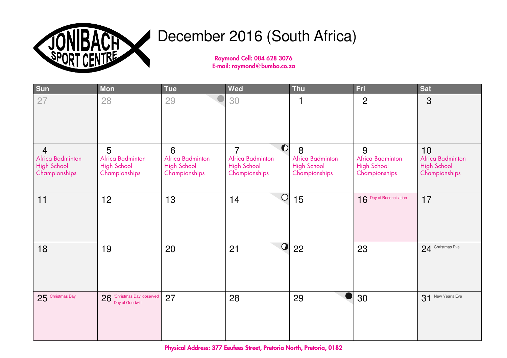

# December 2016 (South Africa)

Raymond Cell: 084 628 3076 E-mail: raymond@bumbo.co.za

| Sun                                                                       | <b>Mon</b>                                                   | <b>Tue</b>                                                   | Wed                                                                             | <b>Thu</b>                                                   | Fri                                                          | <b>Sat</b>                                                    |
|---------------------------------------------------------------------------|--------------------------------------------------------------|--------------------------------------------------------------|---------------------------------------------------------------------------------|--------------------------------------------------------------|--------------------------------------------------------------|---------------------------------------------------------------|
| 27                                                                        | 28                                                           | 29                                                           | 30                                                                              | 1                                                            | $\overline{2}$                                               | 3                                                             |
| $\overline{4}$<br>Africa Badminton<br><b>High School</b><br>Championships | 5<br>Africa Badminton<br><b>High School</b><br>Championships | 6<br>Africa Badminton<br><b>High School</b><br>Championships | 0 <br>$\overline{7}$<br>Africa Badminton<br><b>High School</b><br>Championships | 8<br>Africa Badminton<br><b>High School</b><br>Championships | 9<br>Africa Badminton<br><b>High School</b><br>Championships | 10<br>Africa Badminton<br><b>High School</b><br>Championships |
| 11                                                                        | 12                                                           | 13                                                           | $\bigcirc$<br>14                                                                | 15                                                           | 16 Day of Reconciliation                                     | 17                                                            |
| 18                                                                        | 19                                                           | 20                                                           | $\bullet$<br>21                                                                 | 22                                                           | 23                                                           | 24 Christmas Eve                                              |
| 25 Christmas Day                                                          | 26 Christmas Day' observed<br>Day of Goodwill                | 27                                                           | 28                                                                              | 29                                                           | 30                                                           | 31 New Year's Eve                                             |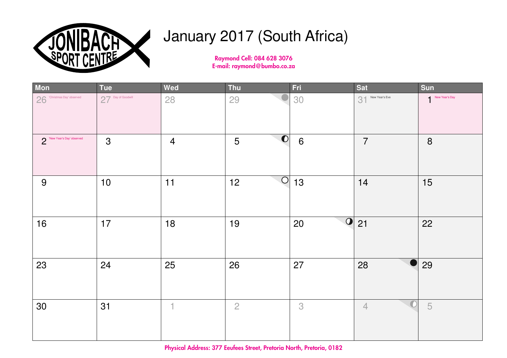

# January 2017 (South Africa)

Raymond Cell: 084 628 3076 E-mail: raymond@bumbo.co.za

| Mon                        | <b>Tue</b>         | Wed            | <b>Thu</b>     | Fri                  | <b>Sat</b>        | Sun            |
|----------------------------|--------------------|----------------|----------------|----------------------|-------------------|----------------|
| 26 Christmas Day' observed | 27 Day of Goodwill | 28             | 29             | 30                   | 31 New Year's Eve | New Year's Day |
| New Year's Day' observed   | 3                  | $\overline{4}$ | 0 <br>5        | $6\phantom{1}6$      | $\overline{7}$    | $\bf 8$        |
| 9                          | $10$               | 11             | O <br>12       | 13                   | 14                | 15             |
| 16                         | 17                 | 18             | 19             | $\overline{O}$<br>20 | 21                | 22             |
| 23                         | 24                 | 25             | 26             | 27                   | 28                | 29             |
| 30                         | 31                 | 4              | $\overline{2}$ | 3                    | $\overline{4}$    | 5              |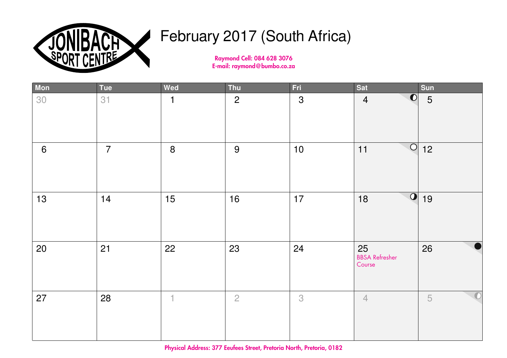

# February 2017 (South Africa)

Raymond Cell: 084 628 3076 E-mail: raymond@bumbo.co.za

| Mon   | Tue            | Wed                      | Thu            | Fri            | Sat                                       | Sun             |
|-------|----------------|--------------------------|----------------|----------------|-------------------------------------------|-----------------|
| 30    | 31             | $\mathbf{1}$             | $\overline{2}$ | $\mathfrak{S}$ | $\overline{\textbf{O}}$<br>$\overline{4}$ | $5\overline{)}$ |
| $6\,$ | $\overline{7}$ | $\boldsymbol{8}$         | 9              | $10$           | $\bigcirc$<br>11                          | 12              |
| 13    | 14             | 15                       | 16             | 17             | $\overline{\textbf{O}}$<br>18             | 19              |
| 20    | 21             | 22                       | 23             | 24             | 25<br><b>BBSA Refresher</b><br>Course     | 26              |
| 27    | 28             | $\overline{\phantom{a}}$ | $\overline{2}$ | 3              | $\overline{4}$                            | 5               |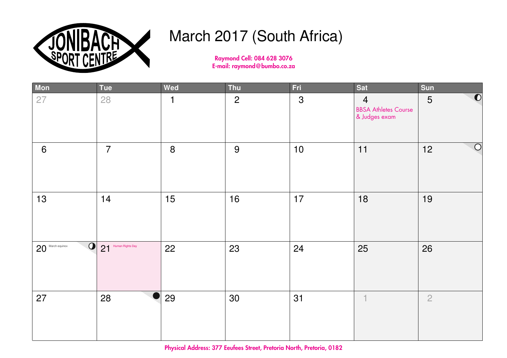

# March 2017 (South Africa)

Raymond Cell: 084 628 3076 E-mail: raymond@bumbo.co.za

| Mon                            | Tue                 | Wed            | Thu            | Fri            | Sat                                                            | Sun                       |
|--------------------------------|---------------------|----------------|----------------|----------------|----------------------------------------------------------------|---------------------------|
| 27                             | 28                  | $\overline{1}$ | $\overline{2}$ | $\mathfrak{S}$ | $\overline{4}$<br><b>BBSA Athletes Course</b><br>& Judges exam | $\overline{\bullet}$<br>5 |
| $6\phantom{1}$                 | $\overline{7}$      | 8              | 9              | $10$           | 11                                                             | $\bigcirc$<br>12          |
| 13                             | 14                  | 15             | 16             | 17             | 18                                                             | 19                        |
| $\Omega$<br>$20$ March equinox | 21 Human Rights Day | 22             | 23             | 24             | 25                                                             | 26                        |
| 27                             | 28                  | 29             | 30             | 31             | $\perp$                                                        | $\overline{2}$            |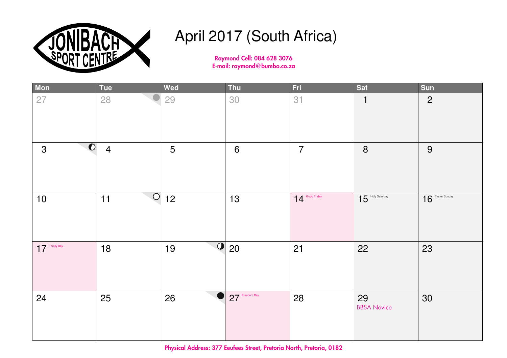

### April 2017 (South Africa)

Raymond Cell: 084 628 3076 E-mail: raymond@bumbo.co.za

| Mon                               | <b>Tue</b>     | Wed | Thu                      | Fri                | <b>Sat</b>               | Sun                |
|-----------------------------------|----------------|-----|--------------------------|--------------------|--------------------------|--------------------|
| 27                                | 28             | 29  | 30                       | 31                 | 1                        | $\overline{2}$     |
| $\boxed{\bullet}$<br>$\mathbf{3}$ | $\overline{4}$ | 5   | $\boldsymbol{6}$         | $\overline{7}$     | $\boldsymbol{8}$         | $9\,$              |
| 10                                | O <br>11       | 12  | 13                       | $14^{$ Good Friday | $15$ Holy Saturday       | $16$ Easter Sunday |
| $17$ Family Day                   | 18             | 19  | $\overline{O}$ 20        | 21                 | 22                       | 23                 |
| 24                                | 25             | 26  | $\bullet$ 27 Freedom Day | 28                 | 29<br><b>BBSA Novice</b> | 30                 |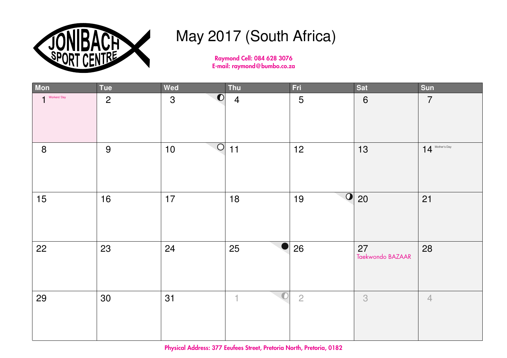

# May 2017 (South Africa)

Raymond Cell: 084 628 3076 E-mail: raymond@bumbo.co.za

| Mon          | <b>Tue</b>     | Wed                    | Thu                                   | <b>Fri</b>                 | Sat                    | Sun               |
|--------------|----------------|------------------------|---------------------------------------|----------------------------|------------------------|-------------------|
| Workers' Day | $\overline{2}$ | 0 <br>3                | $\overline{4}$                        | 5                          | $6\phantom{1}$         | $\overline{7}$    |
| $\bf 8$      | 9              | $\overline{O}$<br>$10$ | $11$                                  | 12                         | 13                     | $14$ Mother's Day |
| 15           | 16             | 17                     | 18                                    | $\boxed{\mathbf{O}}$<br>19 | 20                     | 21                |
| 22           | 23             | 24                     | 25                                    | 26                         | 27<br>Taekwondo BAZAAR | 28                |
| 29           | 30             | 31                     | $\bullet$<br>$\overline{\phantom{a}}$ | $\overline{c}$             | 3                      | $\overline{4}$    |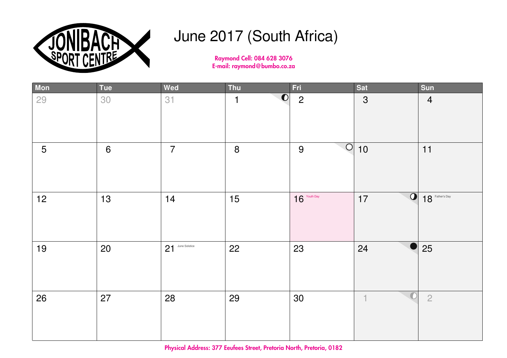

### June 2017 (South Africa)

Raymond Cell: 084 628 3076 E-mail: raymond@bumbo.co.za

| Mon | Tue              | Wed              | Thu            | Fri            | <b>Sat</b>                            | Sun               |
|-----|------------------|------------------|----------------|----------------|---------------------------------------|-------------------|
| 29  | 30               | 31               | $\bullet$<br>1 | $\overline{2}$ | $\mathfrak{S}$                        | $\overline{4}$    |
| 5   | $\boldsymbol{6}$ | $\overline{7}$   | $\bf 8$        | O <br>$9$      | $10$                                  | 11                |
| 12  | 13               | 14               | 15             | $16$ Youth Day | $\overline{O}$<br>17                  | $18$ Father's Day |
| 19  | 20               | 21 June Solstice | 22             | 23             | 24                                    | 25                |
| 26  | 27               | 28               | 29             | $30\,$         | $\bullet$<br>$\overline{\phantom{a}}$ | $\overline{2}$    |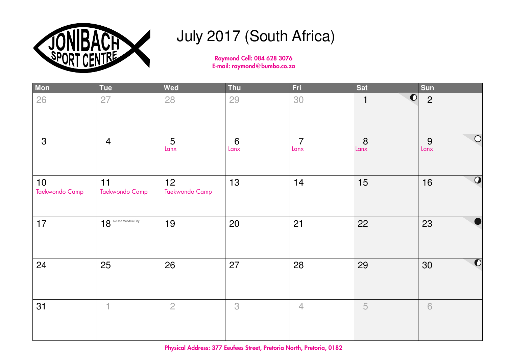

# July 2017 (South Africa)

Raymond Cell: 084 628 3076 E-mail: raymond@bumbo.co.za

| Mon                  | <b>Tue</b>              | Wed                  | Thu                    | Fri                    | <b>Sat</b> | Sun                        |
|----------------------|-------------------------|----------------------|------------------------|------------------------|------------|----------------------------|
| 26                   | 27                      | 28                   | 29                     | 30                     | 0 <br>1    | $\overline{2}$             |
| $\mathfrak{S}$       | $\overline{4}$          | 5<br>Lanx            | $6\phantom{1}$<br>Lanx | $\overline{7}$<br>Lanx | 8<br>Lanx  | $\bigcirc$<br>9<br>$L$ anx |
| 10<br>Taekwondo Camp | 11<br>Taekwondo Camp    | 12<br>Taekwondo Camp | 13                     | 14                     | 15         | $\boldsymbol{O}$<br>16     |
| 17                   | $18$ Nelson Mandela Day | 19                   | 20                     | 21                     | 22         | 23                         |
| 24                   | 25                      | 26                   | 27                     | 28                     | 29         | $\bullet$<br>30            |
| 31                   | $\mathbf{1}$            | $\overline{2}$       | 3                      | $\overline{4}$         | 5          | $\sqrt{6}$                 |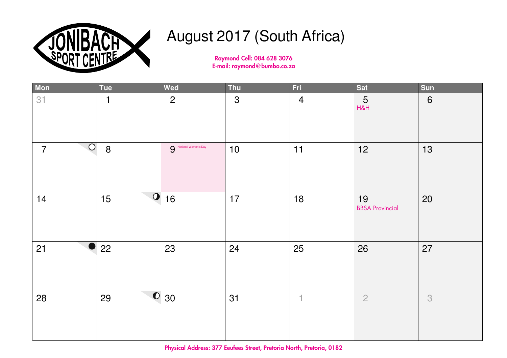

## August 2017 (South Africa)

Raymond Cell: 084 628 3076 E-mail: raymond@bumbo.co.za

| Mon                              | Tue                        | Wed                           | Thu            | <b>Fri</b>               | <b>Sat</b>                   | Sun   |
|----------------------------------|----------------------------|-------------------------------|----------------|--------------------------|------------------------------|-------|
| 31                               | $\mathbf{1}$               | $\overline{2}$                | $\mathfrak{S}$ | $\overline{4}$           | $\frac{5}{118}$              | $6\,$ |
| $\overline{O}$<br>$\overline{7}$ | $\delta$                   | <b>9</b> National Women's Day | $10$           | $11$                     | 12                           | 13    |
| 14                               | $\boxed{\textbf{O}}$<br>15 | 16                            | 17             | 18                       | 19<br><b>BBSA Provincial</b> | 20    |
| 21                               | 22                         | 23                            | 24             | 25                       | 26                           | 27    |
| 28                               | 29                         | $\overline{\text{O}}$ 30      | 31             | $\overline{\phantom{a}}$ | $\overline{2}$               | 3     |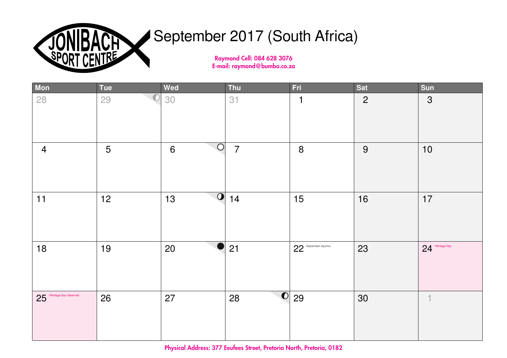

# September 2017 (South Africa)

Raymond Cell: 084 628 3076 E-mail: raymond@bumbo.co.za

| Mon                       | <b>Tue</b>       | Wed                           | Thu            | Fri                      | Sat            | Sun               |
|---------------------------|------------------|-------------------------------|----------------|--------------------------|----------------|-------------------|
| 28                        | $\bigcirc$<br>29 | 30                            | 31             | $\mathbf 1$              | $\overline{2}$ | 3                 |
| $\overline{4}$            | 5                | O <br>6                       | $\overline{7}$ | $\boldsymbol{8}$         | 9              | $10$              |
| 11                        | 12               | $\overline{\mathbf{O}}$<br>13 | 14             | 15                       | 16             | 17                |
| 18                        | 19               | 20                            | 21             | 22 September equinox     | 23             | $24$ Heritage Day |
| 25 Heritage Day' observed | 26               | 27                            | 28             | $\overline{\text{O}}$ 29 | 30             | $\overline{1}$    |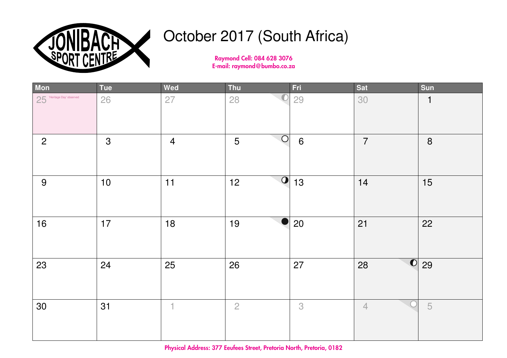

# October 2017 (South Africa)

Raymond Cell: 084 628 3076 E-mail: raymond@bumbo.co.za

| Mon                       | <b>Tue</b> | Wed                      | Thu                    | <b>Fri</b>      | Sat            | Sun            |
|---------------------------|------------|--------------------------|------------------------|-----------------|----------------|----------------|
| 25 Heritage Day' observed | 26         | 27                       | 28                     | 29              | 30             | $\mathbf{1}$   |
| $\overline{2}$            | 3          | $\overline{4}$           | $\circ$<br>5           | $6\phantom{1}6$ | $\overline{7}$ | $\bf 8$        |
| 9                         | $10$       | 11                       | $\boldsymbol{Q}$<br>12 | 13              | 14             | 15             |
| 16                        | $17$       | 18                       | 19                     | 20              | 21             | 22             |
| 23                        | 24         | 25                       | 26                     | 27              | 0 <br>28       | 29             |
| 30                        | 31         | $\overline{\phantom{a}}$ | $\overline{c}$         | 3               | $\overline{4}$ | $\overline{5}$ |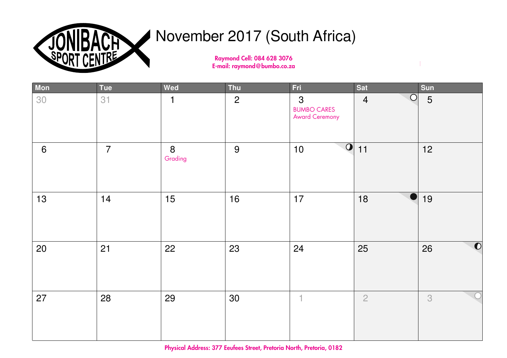

#### November 2017 (South Africa)

Raymond Cell: 084 628 3076 E-mail: raymond@bumbo.co.za

| Mon             | Tue            | Wed          | Thu            | Fri                                              | Sat                          | Sun             |
|-----------------|----------------|--------------|----------------|--------------------------------------------------|------------------------------|-----------------|
| 30              | 31             | 1            | $\overline{2}$ | 3<br><b>BUMBO CARES</b><br><b>Award Ceremony</b> | $\bigcirc$<br>$\overline{4}$ | 5               |
| $6\phantom{1}6$ | $\overline{7}$ | 8<br>Grading | 9              | $\overline{\textbf{O}}$<br>$10$                  | 11                           | 12              |
| 13              | 14             | 15           | 16             | 17                                               | 18                           | 19              |
| 20              | 21             | 22           | 23             | 24                                               | 25                           | $\bullet$<br>26 |
| 27              | 28             | 29           | 30             | $\overline{\phantom{a}}$                         | $\overline{2}$               | 3               |